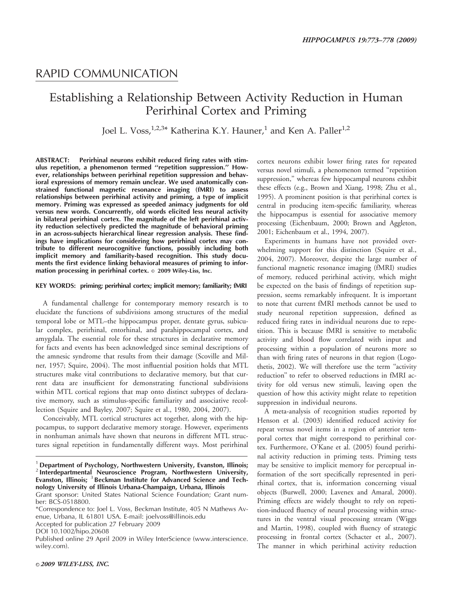## RAPID COMMUNICATION

# Establishing a Relationship Between Activity Reduction in Human Perirhinal Cortex and Priming

Joel L. Voss,<sup>1,2,3\*</sup> Katherina K.Y. Hauner,<sup>1</sup> and Ken A. Paller<sup>1,2</sup>

ABSTRACT: Perirhinal neurons exhibit reduced firing rates with stimulus repetition, a phenomenon termed ''repetition suppression.'' However, relationships between perirhinal repetition suppression and behavioral expressions of memory remain unclear. We used anatomically constrained functional magnetic resonance imaging (fMRI) to assess relationships between perirhinal activity and priming, a type of implicit memory. Priming was expressed as speeded animacy judgments for old versus new words. Concurrently, old words elicited less neural activity in bilateral perirhinal cortex. The magnitude of the left perirhinal activity reduction selectively predicted the magnitude of behavioral priming in an across-subjects hierarchical linear regression analysis. These findings have implications for considering how perirhinal cortex may contribute to different neurocognitive functions, possibly including both implicit memory and familiarity-based recognition. This study documents the first evidence linking behavioral measures of priming to information processing in perirhinal cortex.  $\circ$  2009 Wiley-Liss, Inc.

#### KEY WORDS: priming; perirhinal cortex; implicit memory; familiarity; fMRI

A fundamental challenge for contemporary memory research is to elucidate the functions of subdivisions among structures of the medial temporal lobe or MTL–the hippocampus proper, dentate gyrus, subicular complex, perirhinal, entorhinal, and parahippocampal cortex, and amygdala. The essential role for these structures in declarative memory for facts and events has been acknowledged since seminal descriptions of the amnesic syndrome that results from their damage (Scoville and Milner, 1957; Squire, 2004). The most influential position holds that MTL structures make vital contributions to declarative memory, but that current data are insufficient for demonstrating functional subdivisions within MTL cortical regions that map onto distinct subtypes of declarative memory, such as stimulus-specific familiarity and associative recollection (Squire and Bayley, 2007; Squire et al., 1980, 2004, 2007).

Conceivably, MTL cortical structures act together, along with the hippocampus, to support declarative memory storage. However, experiments in nonhuman animals have shown that neurons in different MTL structures signal repetition in fundamentally different ways. Most perirhinal

Grant sponsor: United States National Science Foundation; Grant number: BCS-0518800.

\*Correspondence to: Joel L. Voss, Beckman Institute, 405 N Mathews Avenue, Urbana, IL 61801 USA. E-mail: joelvoss@illinois.edu

Accepted for publication 27 February 2009

DOI 10.1002/hipo.20608

Published online 29 April 2009 in Wiley InterScience (www.interscience. wiley.com).

cortex neurons exhibit lower firing rates for repeated versus novel stimuli, a phenomenon termed ''repetition suppression," whereas few hippocampal neurons exhibit these effects (e.g., Brown and Xiang, 1998; Zhu et al., 1995). A prominent position is that perirhinal cortex is central in producing item-specific familiarity, whereas the hippocampus is essential for associative memory processing (Eichenbaum, 2000; Brown and Aggleton, 2001; Eichenbaum et al., 1994, 2007).

Experiments in humans have not provided overwhelming support for this distinction (Squire et al., 2004, 2007). Moreover, despite the large number of functional magnetic resonance imaging (fMRI) studies of memory, reduced perirhinal activity, which might be expected on the basis of findings of repetition suppression, seems remarkably infrequent. It is important to note that current fMRI methods cannot be used to study neuronal repetition suppression, defined as reduced firing rates in individual neurons due to repetition. This is because fMRI is sensitive to metabolic activity and blood flow correlated with input and processing within a population of neurons more so than with firing rates of neurons in that region (Logothetis, 2002). We will therefore use the term ''activity reduction'' to refer to observed reductions in fMRI activity for old versus new stimuli, leaving open the question of how this activity might relate to repetition suppression in individual neurons.

A meta-analysis of recognition studies reported by Henson et al. (2003) identified reduced activity for repeat versus novel items in a region of anterior temporal cortex that might correspond to perirhinal cortex. Furthermore, O'Kane et al. (2005) found perirhinal activity reduction in priming tests. Priming tests may be sensitive to implicit memory for perceptual information of the sort specifically represented in perirhinal cortex, that is, information concerning visual objects (Burwell, 2000; Lavenex and Amaral, 2000). Priming effects are widely thought to rely on repetition-induced fluency of neural processing within structures in the ventral visual processing stream (Wiggs and Martin, 1998), coupled with fluency of strategic processing in frontal cortex (Schacter et al., 2007). The manner in which perirhinal activity reduction

<sup>&</sup>lt;sup>1</sup> Department of Psychology, Northwestern University, Evanston, Illinois; <sup>2</sup> Interdepartmental Neuroscience Program, Northwestern University, Evanston, Illinois; <sup>3</sup> Beckman Institute for Advanced Science and Technology University of Illinois Urbana-Champaign, Urbana, Illinois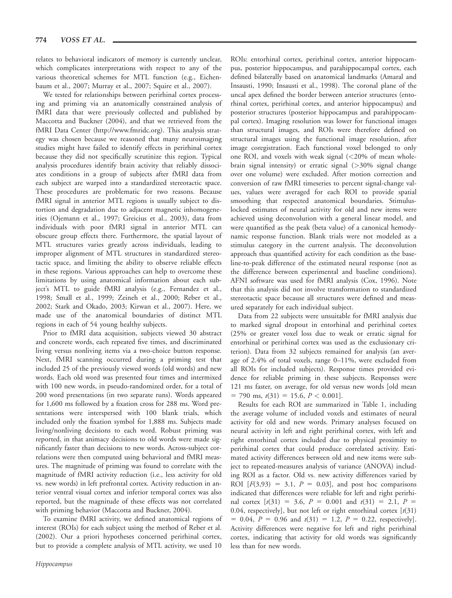relates to behavioral indicators of memory is currently unclear, which complicates interpretations with respect to any of the various theoretical schemes for MTL function (e.g., Eichenbaum et al., 2007; Murray et al., 2007; Squire et al., 2007).

We tested for relationships between perirhinal cortex processing and priming via an anatomically constrained analysis of fMRI data that were previously collected and published by Maccotta and Buckner (2004), and that we retrieved from the fMRI Data Center (http://www.fmridc.org). This analysis strategy was chosen because we reasoned that many neuroimaging studies might have failed to identify effects in perirhinal cortex because they did not specifically scrutinize this region. Typical analysis procedures identify brain activity that reliably dissociates conditions in a group of subjects after fMRI data from each subject are warped into a standardized stereotactic space. These procedures are problematic for two reasons. Because fMRI signal in anterior MTL regions is usually subject to distortion and degradation due to adjacent magnetic inhomogeneities (Ojemann et al., 1997; Greicius et al., 2003), data from individuals with poor fMRI signal in anterior MTL can obscure group effects there. Furthermore, the spatial layout of MTL structures varies greatly across individuals, leading to improper alignment of MTL structures in standardized stereotactic space, and limiting the ability to observe reliable effects in these regions. Various approaches can help to overcome these limitations by using anatomical information about each subject's MTL to guide fMRI analysis (e.g., Fernandez et al., 1998; Small et al., 1999; Zeineh et al., 2000; Reber et al., 2002; Stark and Okado, 2003; Kirwan et al., 2007). Here, we made use of the anatomical boundaries of distinct MTL regions in each of 54 young healthy subjects.

Prior to fMRI data acquisition, subjects viewed 30 abstract and concrete words, each repeated five times, and discriminated living versus nonliving items via a two-choice button response. Next, fMRI scanning occurred during a priming test that included 25 of the previously viewed words (old words) and new words. Each old word was presented four times and intermixed with 100 new words, in pseudo-randomized order, for a total of 200 word presentations (in two separate runs). Words appeared for 1,600 ms followed by a fixation cross for 288 ms. Word presentations were interspersed with 100 blank trials, which included only the fixation symbol for 1,888 ms. Subjects made living/nonliving decisions to each word. Robust priming was reported, in that animacy decisions to old words were made significantly faster than decisions to new words. Across-subject correlations were then computed using behavioral and fMRI measures. The magnitude of priming was found to correlate with the magnitude of fMRI activity reduction (i.e., less activity for old vs. new words) in left prefrontal cortex. Activity reduction in anterior ventral visual cortex and inferior temporal cortex was also reported, but the magnitude of these effects was not correlated with priming behavior (Maccotta and Buckner, 2004).

To examine fMRI activity, we defined anatomical regions of interest (ROIs) for each subject using the method of Reber et al. (2002). Our a priori hypotheses concerned perirhinal cortex, but to provide a complete analysis of MTL activity, we used 10

ROIs: entorhinal cortex, perirhinal cortex, anterior hippocampus, posterior hippocampus, and parahippocampal cortex, each defined bilaterally based on anatomical landmarks (Amaral and Insausti, 1990; Insausti et al., 1998). The coronal plane of the uncal apex defined the border between anterior structures (entorhinal cortex, perirhinal cortex, and anterior hippocampus) and posterior structures (posterior hippocampus and parahippocampal cortex). Imaging resolution was lower for functional images than structural images, and ROIs were therefore defined on structural images using the functional image resolution, after image coregistration. Each functional voxel belonged to only one ROI, and voxels with weak signal  $\left($  < 20% of mean wholebrain signal intensity) or erratic signal (>30% signal change over one volume) were excluded. After motion correction and conversion of raw fMRI timeseries to percent signal-change values, values were averaged for each ROI to provide spatial smoothing that respected anatomical boundaries. Stimuluslocked estimates of neural activity for old and new items were achieved using deconvolution with a general linear model, and were quantified as the peak (beta value) of a canonical hemodynamic response function. Blank trials were not modeled as a stimulus category in the current analysis. The deconvolution approach thus quantified activity for each condition as the baseline-to-peak difference of the estimated neural response (not as the difference between experimental and baseline conditions). AFNI software was used for fMRI analysis (Cox, 1996). Note that this analysis did not involve transformation to standardized stereotactic space because all structures were defined and measured separately for each individual subject.

Data from 22 subjects were unsuitable for fMRI analysis due to marked signal dropout in entorhinal and perirhinal cortex (25% or greater voxel loss due to weak or erratic signal for entorhinal or perirhinal cortex was used as the exclusionary criterion). Data from 32 subjects remained for analysis (an average of 2.4% of total voxels, range 0–11%, were excluded from all ROIs for included subjects). Response times provided evidence for reliable priming in these subjects. Responses were 121 ms faster, on average, for old versus new words [old mean  $= 790 \text{ ms}, t(31) = 15.6, P < 0.001$ .

Results for each ROI are summarized in Table 1, including the average volume of included voxels and estimates of neural activity for old and new words. Primary analyses focused on neural activity in left and right perirhinal cortex, with left and right entorhinal cortex included due to physical proximity to perirhinal cortex that could produce correlated activity. Estimated activity differences between old and new items were subject to repeated-measures analysis of variance (ANOVA) including ROI as a factor. Old vs. new activity differences varied by ROI  $[F(3,93) = 3.1, P = 0.03]$ , and post hoc comparisons indicated that differences were reliable for left and right perirhinal cortex  $[t(31) = 3.6, P = 0.001$  and  $t(31) = 2.1, P =$ 0.04, respectively], but not left or right entorhinal cortex  $[t(31)]$  $= 0.04$ ,  $P = 0.96$  and  $t(31) = 1.2$ ,  $P = 0.22$ , respectively]. Activity differences were negative for left and right perirhinal cortex, indicating that activity for old words was significantly less than for new words.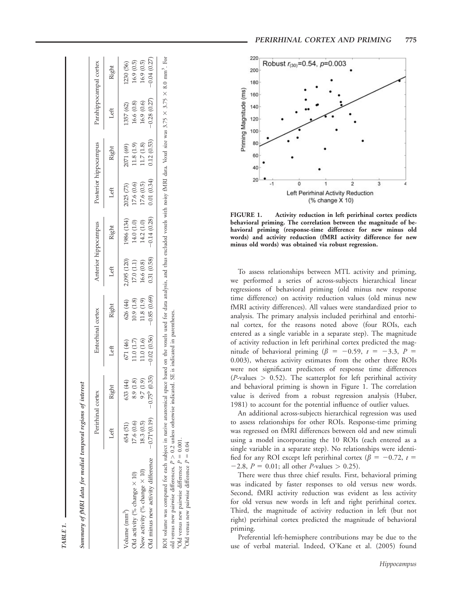| PERIRHINAL CORTEX AND PRIMING |  |  | 775 |
|-------------------------------|--|--|-----|
|-------------------------------|--|--|-----|

|                                     |                               | Perirhinal cortex      | Entorhinal cortex |               |             | Anterior hippocampus |            | Posterior hippocampus | Parahippocampal cortex |               |
|-------------------------------------|-------------------------------|------------------------|-------------------|---------------|-------------|----------------------|------------|-----------------------|------------------------|---------------|
|                                     | Left                          | Right                  | Left              | Right         | Left        | Right                | Left       | Right                 | Left                   | Right         |
| Volume (mm <sup>3</sup> )           | 654 (51)                      | 633 (44)               | 671 (46)          | 626 (44)      | 2,095 (120) | 1986 (134)           | 2025 (73)  | 2071 (69)             | 1357 (62)              | 1230 (56)     |
| Old activity (% change $\times$ 10) | 17.6 (0.6)                    | 8.9 (1.8)              | 11.0(1.7)         | 10.9(1.8)     | 17.0(1.1)   | 14.0 (1.0)           | 17.6 (0.6) | 11.8(1.9)             | 16.6(0.8)              | 16.9(0.5)     |
| New activity (% change $\times$ 10) | 18.3(0.5)                     | $(6.1)$ 7.6            | 11.0(1.6)         | 11.8(1.9)     | 16.6(0.8)   | 14.2 (1.0)           | 17.6 (0.5) | 11.7(1.8)             | 16.9(0.6)              | 16.9(0.5)     |
| Old minus new activity difference   | $-0.71$ <sup>a</sup> $(0.19)$ | $-0.75^{\circ}$ (0.35) | $-0.02(0.56)$     | $-0.85(0.69)$ | 0.31(0.58)  | $-0.14(0.28)$        | 0.01(0.34) | 0.12(0.53)            | 0.28(0.27)             | $-0.04(0.27)$ |

<sup>a</sup>Old versus new pairwise difference  $P = 0.001$ .  $b$ Old versus new pairwise difference  $P = 0.04$ 

<sup>a</sup>Old versus new pairwise difference  $P = 0.001$  $P$ Old versus new pairwise difference  $P = 0.04$ 

220 Robust  $r_{(30)} = 0.54$ ,  $p = 0.003$ 200 180 Priming Magnitude (ms 160 140 120 100 80 60 40 20  $\overline{0}$  $\overline{2}$ 3 Left Perirhinal Activity Reduction (% change X 10)

FIGURE 1. Activity reduction in left perirhinal cortex predicts behavioral priming. The correlation between the magnitude of behavioral priming (response-time difference for new minus old words) and activity reduction (fMRI activity difference for new minus old words) was obtained via robust regression.

To assess relationships between MTL activity and priming, we performed a series of across-subjects hierarchical linear regressions of behavioral priming (old minus new response time difference) on activity reduction values (old minus new fMRI activity differences). All values were standardized prior to analysis. The primary analysis included perirhinal and entorhinal cortex, for the reasons noted above (four ROIs, each entered as a single variable in a separate step). The magnitude of activity reduction in left perirhinal cortex predicted the magnitude of behavioral priming ( $\beta = -0.59$ ,  $t = -3.3$ ,  $P =$ 0.003), whereas activity estimates from the other three ROIs were not significant predictors of response time differences  $(P$ -values  $> 0.52$ ). The scatterplot for left perirhinal activity and behavioral priming is shown in Figure 1. The correlation value is derived from a robust regression analysis (Huber, 1981) to account for the potential influence of outlier values.

An additional across-subjects hierarchical regression was used to assess relationships for other ROIs. Response-time priming was regressed on fMRI differences between old and new stimuli using a model incorporating the 10 ROIs (each entered as a single variable in a separate step). No relationships were identified for any ROI except left perirhinal cortex ( $\beta = -0.72$ ,  $t =$  $-2.8$ ,  $P = 0.01$ ; all other *P*-values  $> 0.25$ ).

There were thus three chief results. First, behavioral priming was indicated by faster responses to old versus new words. Second, fMRI activity reduction was evident as less activity for old versus new words in left and right perirhinal cortex. Third, the magnitude of activity reduction in left (but not right) perirhinal cortex predicted the magnitude of behavioral priming.

Preferential left-hemisphere contributions may be due to the use of verbal material. Indeed, O'Kane et al. (2005) found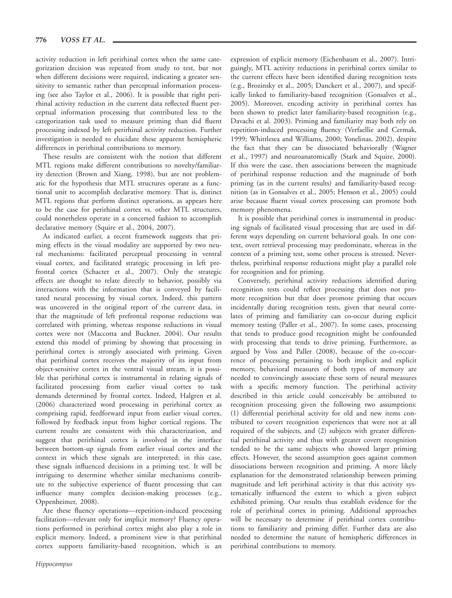activity reduction in left perirhinal cortex when the same categorization decision was repeated from study to test, but not when different decisions were required, indicating a greater sensitivity to semantic rather than perceptual information processing (see also Taylor et al., 2006). It is possible that right perirhinal activity reduction in the current data reflected fluent perceptual information processing that contributed less to the categorization task used to measure priming than did fluent processing indexed by left perirhinal activity reduction. Further investigation is needed to elucidate these apparent hemispheric differences in perirhinal contributions to memory.

These results are consistent with the notion that different MTL regions make different contributions to novelty/familiarity detection (Brown and Xiang, 1998), but are not problematic for the hypothesis that MTL structures operate as a functional unit to accomplish declarative memory. That is, distinct MTL regions that perform distinct operations, as appears here to be the case for perirhinal cortex vs. other MTL structures, could nonetheless operate in a concerted fashion to accomplish declarative memory (Squire et al., 2004, 2007).

As indicated earlier, a recent framework suggests that priming effects in the visual modality are supported by two neural mechanisms: facilitated perceptual processing in ventral visual cortex, and facilitated strategic processing in left prefrontal cortex (Schacter et al., 2007). Only the strategic effects are thought to relate directly to behavior, possibly via interactions with the information that is conveyed by facilitated neural processing by visual cortex. Indeed, this pattern was uncovered in the original report of the current data, in that the magnitude of left prefrontal response reductions was correlated with priming, whereas response reductions in visual cortex were not (Maccotta and Buckner, 2004). Our results extend this model of priming by showing that processing in perirhinal cortex is strongly associated with priming. Given that perirhinal cortex receives the majority of its input from object-sensitive cortex in the ventral visual stream, it is possible that perirhinal cortex is instrumental in relating signals of facilitated processing from earlier visual cortex to task demands determined by frontal cortex. Indeed, Halgren et al. (2006) characterized word processing in perirhinal cortex as comprising rapid, feedforward input from earlier visual cortex, followed by feedback input from higher cortical regions. The current results are consistent with this characterization, and suggest that perirhinal cortex is involved in the interface between bottom-up signals from earlier visual cortex and the context in which these signals are interpreted; in this case, these signals influenced decisions in a priming test. It will be intriguing to determine whether similar mechanisms contribute to the subjective experience of fluent processing that can influence many complex decision-making processes (e.g., Oppenheimer, 2008).

Are these fluency operations––repetition-induced processing facilitation––relevant only for implicit memory? Fluency operations performed in perirhinal cortex might also play a role in explicit memory. Indeed, a prominent view is that perirhinal cortex supports familiarity-based recognition, which is an

expression of explicit memory (Eichenbaum et al., 2007). Intriguingly, MTL activity reductions in perirhinal cortex similar to the current effects have been identified during recognition tests (e.g., Brozinsky et al., 2005; Danckert et al., 2007), and specifically linked to familiarity-based recognition (Gonsalves et al., 2005). Moreover, encoding activity in perirhinal cortex has been shown to predict later familiarity-based recognition (e.g., Davachi et al. 2003). Priming and familiarity may both rely on repetition-induced processing fluency (Verfaellie and Cermak, 1999; Whittlesea and Williams, 2000; Yonelinas, 2002), despite the fact that they can be dissociated behaviorally (Wagner et al., 1997) and neuroanatomically (Stark and Squire, 2000). If this were the case, then associations between the magnitude of perirhinal response reduction and the magnitude of both priming (as in the current results) and familiarity-based recognition (as in Gonsalves et al., 2005; Henson et al., 2005) could arise because fluent visual cortex processing can promote both memory phenomena.

It is possible that perirhinal cortex is instrumental in producing signals of facilitated visual processing that are used in different ways depending on current behavioral goals. In one context, overt retrieval processing may predominate, whereas in the context of a priming test, some other process is stressed. Nevertheless, perirhinal response reductions might play a parallel role for recognition and for priming.

Conversely, perirhinal activity reductions identified during recognition tests could reflect processing that does not promote recognition but that does promote priming that occurs incidentally during recognition tests, given that neural correlates of priming and familiarity can co-occur during explicit memory testing (Paller et al., 2007). In some cases, processing that tends to produce good recognition might be confounded with processing that tends to drive priming. Furthermore, as argued by Voss and Paller (2008), because of the co-occurrence of processing pertaining to both implicit and explicit memory, behavioral measures of both types of memory are needed to convincingly associate these sorts of neural measures with a specific memory function. The perirhinal activity described in this article could conceivably be attributed to recognition processing given the following two assumptions: (1) differential perirhinal activity for old and new items contributed to covert recognition experiences that were not at all required of the subjects, and (2) subjects with greater differential perirhinal activity and thus with greater covert recognition tended to be the same subjects who showed larger priming effects. However, the second assumption goes against common dissociations between recognition and priming. A more likely explanation for the demonstrated relationship between priming magnitude and left perirhinal activity is that this activity systematically influenced the extent to which a given subject exhibited priming. Our results thus establish evidence for the role of perirhinal cortex in priming. Additional approaches will be necessary to determine if perirhinal cortex contributions to familiarity and priming differ. Further data are also needed to determine the nature of hemispheric differences in perirhinal contributions to memory.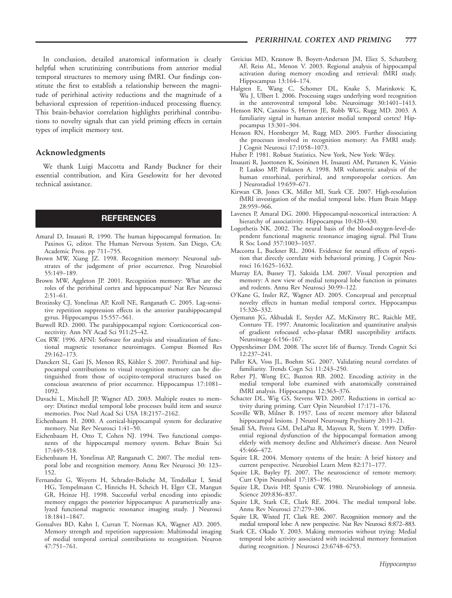In conclusion, detailed anatomical information is clearly helpful when scrutinizing contributions from anterior medial temporal structures to memory using fMRI. Our findings constitute the first to establish a relationship between the magnitude of perirhinal activity reductions and the magnitude of a behavioral expression of repetition-induced processing fluency. This brain-behavior correlation highlights perirhinal contributions to novelty signals that can yield priming effects in certain types of implicit memory test.

### Acknowledgments

We thank Luigi Maccotta and Randy Buckner for their essential contribution, and Kira Geselowitz for her devoted technical assistance.

## **REFERENCES**

- Amaral D, Insausti R. 1990. The human hippocampal formation. In: Paxinos G, editor. The Human Nervous System. San Diego, CA: Academic Press. pp 711–755.
- Brown MW, Xiang JZ. 1998. Recognition memory: Neuronal substrates of the judgement of prior occurrence. Prog Neurobiol 55:149–189.
- Brown MW, Aggleton JP. 2001. Recognition memory: What are the roles of the perirhinal cortex and hippocampus? Nat Rev Neurosci  $2:51-61$ .
- Brozinsky CJ, Yonelinas AP, Kroll NE, Ranganath C. 2005. Lag-sensitive repetition suppression effects in the anterior parahippocampal gyrus. Hippocampus 15:557–561.
- Burwell RD. 2000. The parahippocampal region: Corticocortical connectivity. Ann NY Acad Sci 911:25–42.
- Cox RW. 1996. AFNI: Software for analysis and visualization of functional magnetic resonance neuroimages. Comput Biomed Res 29:162–173.
- Danckert SL, Gati JS, Menon RS, Köhler S. 2007. Perirhinal and hippocampal contributions to visual recognition memory can be distinguished from those of occipito-temporal structures based on conscious awareness of prior occurrence. Hippocampus 17:1081– 1092.
- Davachi L, Mitchell JP, Wagner AD. 2003. Multiple routes to memory: Distinct medial temporal lobe processes build item and source memories. Proc Natl Acad Sci USA 18:2157–2162.
- Eichenbaum H. 2000. A cortical-hippocampal system for declarative memory. Nat Rev Neurosci 1:41–50.
- Eichenbaum H, Otto T, Cohen NJ. 1994. Two functional components of the hippocampal memory system. Behav Brain Sci 17:449–518.
- Eichenbaum H, Yonelinas AP, Ranganath C. 2007. The medial temporal lobe and recognition memory. Annu Rev Neurosci 30: 123– 152.
- Fernandez G, Weyerts H, Schrader-Bolsche M, Tendolkar I, Smid HG, Tempelmann C, Hinrichs H, Scheich H, Elger CE, Mangun GR, Heinze HJ. 1998. Successful verbal encoding into episodic memory engages the posterior hippocampus: A parametrically analyzed functional magnetic resonance imaging study. J Neurosci 18:1841–1847.
- Gonsalves BD, Kahn I, Curran T, Norman KA, Wagner AD. 2005. Memory strength and repetition suppression: Multimodal imaging of medial temporal cortical contributions to recognition. Neuron 47:751–761.
- Greicius MD, Krasnow B, Boyett-Anderson JM, Eliez S, Schatzberg AF, Reiss AL, Menon V. 2003. Regional analysis of hippocampal activation during memory encoding and retrieval: fMRI study. Hippocampus 13:164–174.
- Halgren E, Wang C, Schomer DL, Knake S, Marinkovic K, Wu J, Ulbert I. 2006. Processing stages underlying word recognition in the anteroventral temporal lobe. Neuroimage 30:1401–1413.
- Henson RN, Cansino S, Herron JE, Robb WG, Rugg MD. 2003. A familiarity signal in human anterior medial temporal cortex? Hippocampus 13:301–304.
- Henson RN, Hornberger M, Rugg MD. 2005. Further dissociating the processes involved in recognition memory: An FMRI study. J Cognit Neurosci 17:1058–1073.
- Huber P. 1981. Robust Statistics. New York, New York: Wiley.
- Insausti R, Juottonen K, Soininen H, Insausti AM, Partanen K, Vainio P, Laakso MP, Pitkanen A. 1998. MR volumetric analysis of the human entorhinal, perirhinal, and temporopolar cortices. Am J Neuroradiol 19:659–671.
- Kirwan CB, Jones CK, Miller MI, Stark CE. 2007. High-resolution fMRI investigation of the medial temporal lobe. Hum Brain Mapp 28:959–966.
- Lavenex P, Amaral DG. 2000. Hippocampal-neocortical interaction: A hierarchy of associativity. Hippocampus 10:420-430.
- Logothetis NK. 2002. The neural basis of the blood-oxygen-level-dependent functional magnetic resonance imaging signal. Phil Trans R Soc Lond 357:1003–1037.
- Maccotta L, Buckner RL. 2004. Evidence for neural effects of repetition that directly correlate with behavioral priming. J Cognit Neurosci 16:1625–1632.
- Murray EA, Bussey TJ, Saksida LM. 2007. Visual perception and memory: A new view of medial temporal lobe function in primates and rodents. Annu Rev Neurosci 30:99–122.
- O'Kane G, Insler RZ, Wagner AD. 2005. Conceptual and perceptual novelty effects in human medial temporal cortex. Hippocampus 15:326–332.
- Ojemann JG, Akbudak E, Snyder AZ, McKinstry RC, Raichle ME, Conturo TE. 1997. Anatomic localization and quantitative analysis of gradient refocused echo-planar fMRI susceptibility artifacts. Neuroimage 6:156–167.
- Oppenheimer DM. 2008. The secret life of fluency. Trends Cognit Sci 12:237–241.
- Paller KA, Voss JL, Boehm SG. 2007. Validating neural correlates of familiarity. Trends Cogn Sci 11:243–250.
- Reber PJ, Wong EC, Buxton RB. 2002. Encoding activity in the medial temporal lobe examined with anatomically constrained fMRI analysis. Hippocampus 12:363–376.
- Schacter DL, Wig GS, Stevens WD. 2007. Reductions in cortical activity during priming. Curr Opin Neurobiol 17:171–176.
- Scoville WB, Milner B. 1957. Loss of recent memory after bilateral hippocampal lesions. J Neurol Neurosurg Psychiatry 20:11-21.
- Small SA, Perera GM, DeLaPaz R, Mayeux R, Stern Y. 1999. Differential regional dysfunction of the hippocampal formation among elderly with memory decline and Alzheimer's disease. Ann Neurol 45:466–472.
- Squire LR. 2004. Memory systems of the brain: A brief history and current perspective. Neurobiol Learn Mem 82:171–177.
- Squire LR, Bayley PJ. 2007. The neuroscience of remote memory. Curr Opin Neurobiol 17:185–196.
- Squire LR, Davis HP, Spanis CW. 1980. Neurobiology of amnesia. Science 209:836–837.
- Squire LR, Stark CE, Clark RE. 2004. The medial temporal lobe. Annu Rev Neurosci 27:279–306.
- Squire LR, Wixted JT, Clark RE. 2007. Recognition memory and the medial temporal lobe: A new perspective. Nat Rev Neurosci 8:872–883.
- Stark CE, Okado Y. 2003. Making memories without trying: Medial temporal lobe activity associated with incidental memory formation during recognition. J Neurosci 23:6748–6753.